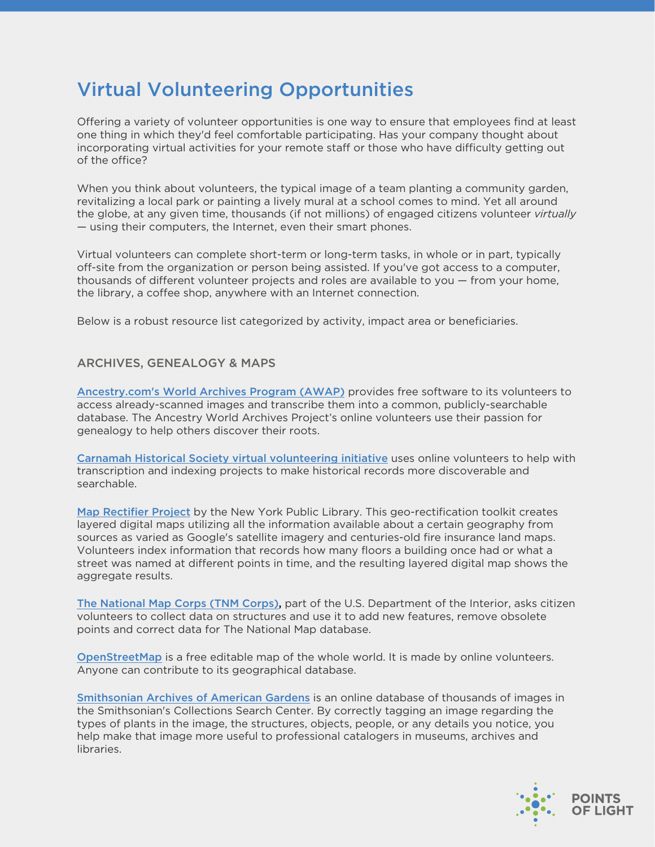# Virtual Volunteering Opportunities

Offering a variety of volunteer opportunities is one way to ensure that employees find at least one thing in which they'd feel comfortable participating. Has your company thought about incorporating virtual activities for your remote staff or those who have difficulty getting out of the office?

When you think about volunteers, the typical image of a team planting a community garden, revitalizing a local park or painting a lively mural at a school comes to mind. Yet all around the globe, at any given time, thousands (if not millions) of engaged citizens volunteer *virtually* — using their computers, the Internet, even their smart phones.

Virtual volunteers can complete short-term or long-term tasks, in whole or in part, typically off-site from the organization or person being assisted. If you've got access to a computer, thousands of different volunteer projects and roles are available to you — from your home, the library, a coffee shop, anywhere with an Internet connection.

Below is a robust resource list categorized by activity, impact area or beneficiaries.

## ARCHIVES, GENEALOGY & MAPS

[Ancestry.com's World Archives Program \(AWAP\)](https://blogs.ancestry.com/worldarchivesproject/?page_id=1023) provides free software to its volunteers to access already-scanned images and transcribe them into a common, publicly-searchable database. The Ancestry World Archives Project's online volunteers use their passion for genealogy to help others discover their roots.

[Carnamah Historical Society virtual volunteering initiative](http://www.virtualvolunteering.com.au/volunteer/) uses online volunteers to help with transcription and indexing projects to make historical records more discoverable and searchable.

[Map Rectifier Project](http://maps.nypl.org/warper/) by the New York Public Library. This geo-rectification toolkit creates layered digital maps utilizing all the information available about a certain geography from sources as varied as Google's satellite imagery and centuries-old fire insurance land maps. Volunteers index information that records how many floors a building once had or what a street was named at different points in time, and the resulting layered digital map shows the aggregate results.

[The National Map Corps \(TNM Corps\),](https://my.usgs.gov/confluence/display/nationalmapcorps/Home) part of the U.S. Department of the Interior, asks citizen volunteers to collect data on structures and use it to add new features, remove obsolete points and correct data for The National Map database.

[OpenStreetMap](http://www.openstreetmap.org/) is a free editable map of the whole world. It is made by online volunteers. Anyone can contribute to its geographical database.

[Smithsonian Archives of American Gardens](http://collections.si.edu/search/gallery.htm?og=archives-of-american-gardens&p=mystery-gardens-2) is an online database of thousands of images in the Smithsonian's Collections Search Center. By correctly tagging an image regarding the types of plants in the image, the structures, objects, people, or any details you notice, you help make that image more useful to professional catalogers in museums, archives and libraries.

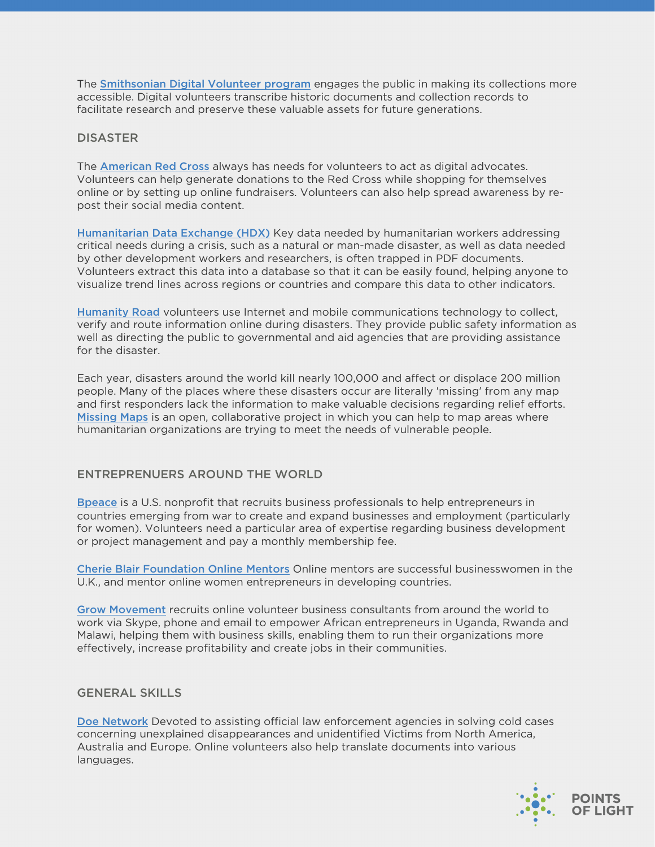The [Smithsonian Digital Volunteer program](https://transcription.si.edu/) engages the public in making its collections more accessible. Digital volunteers transcribe historic documents and collection records to facilitate research and preserve these valuable assets for future generations.

#### **DISASTER**

The [American Red Cross](http://www.redcross.org/support/be-a-digital-advocate) always has needs for volunteers to act as digital advocates. Volunteers can help generate donations to the Red Cross while shopping for themselves online or by setting up online fundraisers. Volunteers can also help spread awareness by repost their social media content.

[Humanitarian Data Exchange \(HDX\)](https://data.humdata.org/) Key data needed by humanitarian workers addressing critical needs during a crisis, such as a natural or man-made disaster, as well as data needed by other development workers and researchers, is often trapped in PDF documents. Volunteers extract this data into a database so that it can be easily found, helping anyone to visualize trend lines across regions or countries and compare this data to other indicators.

[Humanity Road](http://www.humanityroad.org/) volunteers use Internet and mobile communications technology to collect, verify and route information online during disasters. They provide public safety information as well as directing the public to governmental and aid agencies that are providing assistance for the disaster.

Each year, disasters around the world kill nearly 100,000 and affect or displace 200 million people. Many of the places where these disasters occur are literally 'missing' from any map and first responders lack the information to make valuable decisions regarding relief efforts. [Missing Maps](https://www.missingmaps.org/) is an open, collaborative project in which you can help to map areas where humanitarian organizations are trying to meet the needs of vulnerable people.

# ENTREPRENUERS AROUND THE WORLD

[Bpeace](http://www.bpeace.org/) is a U.S. nonprofit that recruits business professionals to help entrepreneurs in countries emerging from war to create and expand businesses and employment (particularly for women). Volunteers need a particular area of expertise regarding business development or project management and pay a monthly membership fee.

[Cherie Blair Foundation Online Mentors](https://cherieblairfoundation.org/programmes/mentoring/) Online mentors are successful businesswomen in the U.K., and mentor online women entrepreneurs in developing countries.

[Grow Movement](http://www.growmovement.org/) recruits online volunteer business consultants from around the world to work via Skype, phone and email to empower African entrepreneurs in Uganda, Rwanda and Malawi, helping them with business skills, enabling them to run their organizations more effectively, increase profitability and create jobs in their communities.

#### GENERAL SKILLS

[Doe Network](http://www.doenetwork.org/) Devoted to assisting official law enforcement agencies in solving cold cases concerning unexplained disappearances and unidentified Victims from North America, Australia and Europe. Online volunteers also help translate documents into various languages.

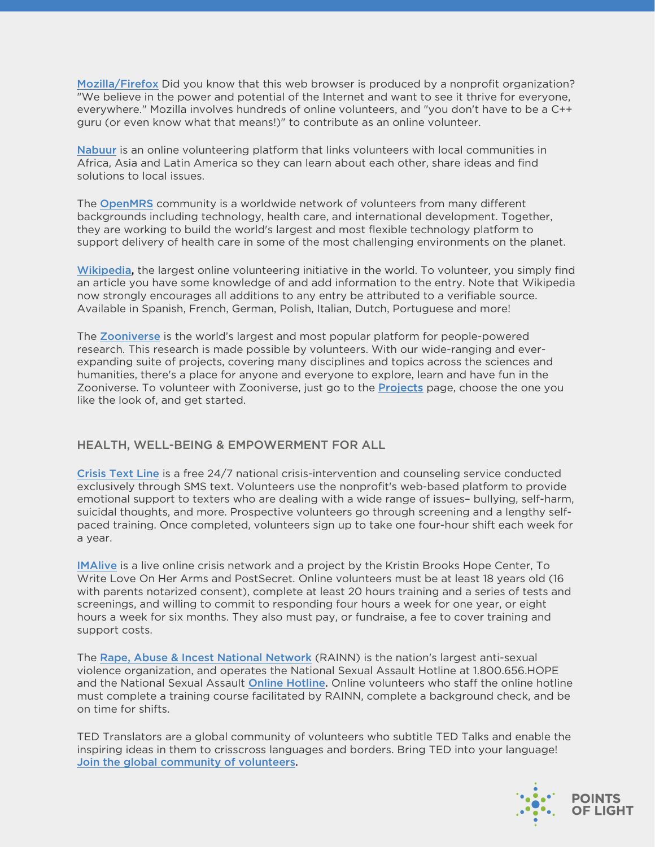[Mozilla/Firefox](http://www.mozilla.org/contribute/areas.html) Did you know that this web browser is produced by a nonprofit organization? "We believe in the power and potential of the Internet and want to see it thrive for everyone, everywhere." Mozilla involves hundreds of online volunteers, and "you don't have to be a C++ guru (or even know what that means!)" to contribute as an online volunteer.

[Nabuur](https://orgs.tigweb.org/nabuur) is an online volunteering platform that links volunteers with local communities in Africa, Asia and Latin America so they can learn about each other, share ideas and find solutions to local issues.

The [OpenMRS](http://openmrs.org/) community is a worldwide network of volunteers from many different backgrounds including technology, health care, and international development. Together, they are working to build the world's largest and most flexible technology platform to support delivery of health care in some of the most challenging environments on the planet.

[Wikipedia,](http://www.wikipedia.org/) the largest online volunteering initiative in the world. To volunteer, you simply find an article you have some knowledge of and add information to the entry. Note that Wikipedia now strongly encourages all additions to any entry be attributed to a verifiable source. Available in Spanish, French, German, Polish, Italian, Dutch, Portuguese and more!

The [Zooniverse](https://www.zooniverse.org/) is the world's largest and most popular platform for people-powered research. This research is made possible by volunteers. With our wide-ranging and everexpanding suite of projects, covering many disciplines and topics across the sciences and humanities, there's a place for anyone and everyone to explore, learn and have fun in the Zooniverse. To volunteer with Zooniverse, just go to the **Projects** page, choose the one you like the look of, and get started.

# HEALTH, WELL-BEING & EMPOWERMENT FOR ALL

[Crisis Text Line](http://www.crisistextline.org/join-our-efforts/volunteer/) is a free 24/7 national crisis-intervention and counseling service conducted exclusively through SMS text. Volunteers use the nonprofit's web-based platform to provide emotional support to texters who are dealing with a wide range of issues– bullying, self-harm, suicidal thoughts, and more. Prospective volunteers go through screening and a lengthy selfpaced training. Once completed, volunteers sign up to take one four-hour shift each week for a year.

[IMAlive](http://www.pickupthephone.org/IMAlive/volunteer.php) is a live online crisis network and a project by the Kristin Brooks Hope Center, To Write Love On Her Arms and PostSecret. Online volunteers must be at least 18 years old (16 with parents notarized consent), complete at least 20 hours training and a series of tests and screenings, and willing to commit to responding four hours a week for one year, or eight hours a week for six months. They also must pay, or fundraise, a fee to cover training and support costs.

The [Rape, Abuse & Incest National Network](http://www.rainn.org/get-involved/volunteer-for-RAINN/ohl-volunteer) (RAINN) is the nation's largest anti-sexual violence organization, and operates the National Sexual Assault Hotline at 1.800.656.HOPE and the National Sexual Assault [Online Hotline](https://ohl.rainn.org/online/). Online volunteers who staff the online hotline must complete a training course facilitated by RAINN, complete a background check, and be on time for shifts.

TED Translators are a global community of volunteers who subtitle TED Talks and enable the inspiring ideas in them to crisscross languages and borders. Bring TED into your language! [Join the global community of volunteers.](https://www.ted.com/participate/translate)

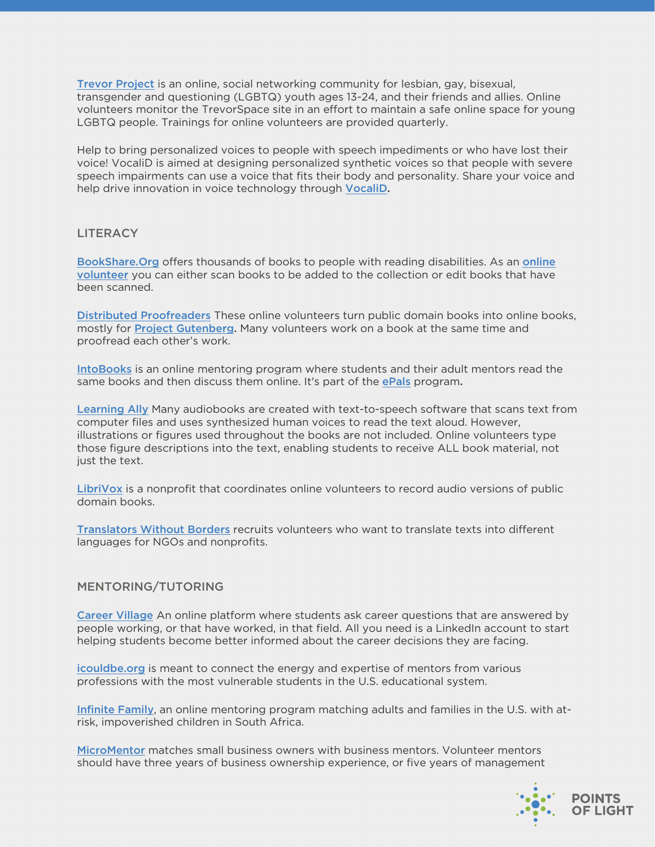[Trevor Project](https://www.thetrevorproject.org/get-involved/volunteer/) is an online, social networking community for lesbian, gay, bisexual, transgender and questioning (LGBTQ) youth ages 13-24, and their friends and allies. Online volunteers monitor the TrevorSpace site in an effort to maintain a safe online space for young LGBTQ people. Trainings for online volunteers are provided quarterly.

Help to bring personalized voices to people with speech impediments or who have lost their voice! VocaliD is aimed at designing personalized synthetic voices so that people with severe speech impairments can use a voice that fits their body and personality. Share your voice and help drive innovation in voice technology through [VocaliD](https://www.vocalid.co/voicebank).

#### **LITERACY**

[BookShare.Org](http://www.bookshare.org/) offers thousands of books to people with reading disabilities. As an online volunteer [you can either scan books to be added to the collection or edit books that have](https://www.bookshare.org/cms/get-involved/volunteer) been scanned.

[Distributed Proofreaders](http://www.pgdp.net/) These online volunteers turn public domain books into online books, mostly for [Project Gutenberg.](http://www.gutenberg.org/) Many volunteers work on a book at the same time and proofread each other's work.

[IntoBooks](http://in2books.epals.com/) is an online mentoring program where students and their adult mentors read the same books and then discuss them online. It's part of the **[ePals](http://www.epals.com/)** program.

[Learning Ally](https://go.learningally.org/Get-Involved/Volunteer-Opportunities) Many audiobooks are created with text-to-speech software that scans text from computer files and uses synthesized human voices to read the text aloud. However, illustrations or figures used throughout the books are not included. Online volunteers type those figure descriptions into the text, enabling students to receive ALL book material, not just the text.

[LibriVox](http://www.librivox.org/) is a nonprofit that coordinates online volunteers to record audio versions of public domain books.

[Translators Without Borders](http://translatorswithoutborders.org/) recruits volunteers who want to translate texts into different languages for NGOs and nonprofits.

#### MENTORING/TUTORING

[Career Village](https://careervillage.org/about/#become-a-mentor) An online platform where students ask career questions that are answered by people working, or that have worked, in that field. All you need is a LinkedIn account to start helping students become better informed about the career decisions they are facing.

[icouldbe.org](http://www.icouldbe.org/) is meant to connect the energy and expertise of mentors from various professions with the most vulnerable students in the U.S. educational system.

[Infinite Family](http://www.infinitefamily.org/), an online mentoring program matching adults and families in the U.S. with atrisk, impoverished children in South Africa.

[MicroMentor](http://www.micromentor.org/) matches small business owners with business mentors. Volunteer mentors should have three years of business ownership experience, or five years of management

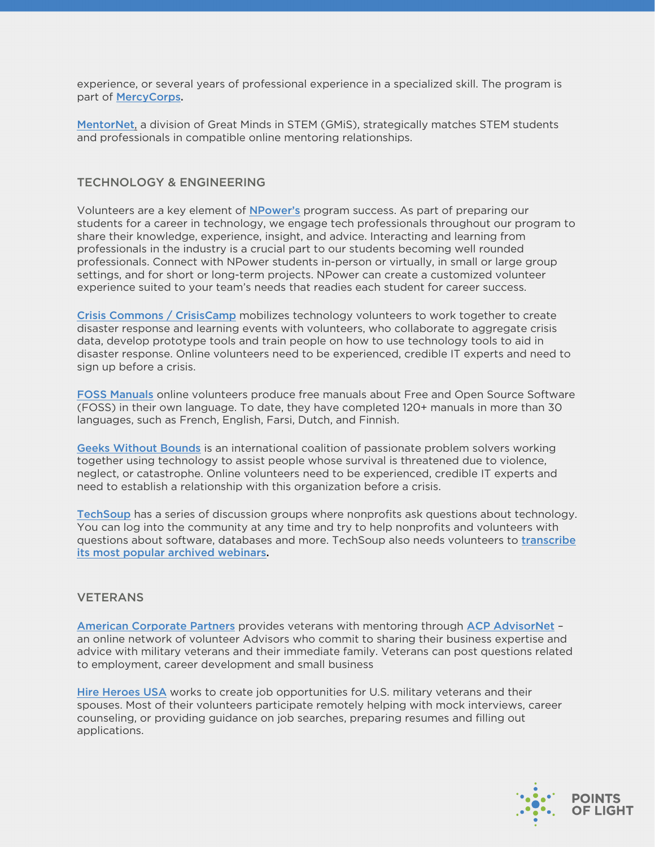experience, or several years of professional experience in a specialized skill. The program is part of [MercyCorps.](http://www.mercycorps.org/)

[MentorNet](http://mentornet.org/), a division of Great Minds in STEM (GMiS), strategically matches STEM students and professionals in compatible online mentoring relationships.

## TECHNOLOGY & ENGINEERING

Volunteers are a key element of [NPower's](https://www.npower.org/get-involved/volunteer/) program success. As part of preparing our students for a career in technology, we engage tech professionals throughout our program to share their knowledge, experience, insight, and advice. Interacting and learning from professionals in the industry is a crucial part to our students becoming well rounded professionals. Connect with NPower students in-person or virtually, in small or large group settings, and for short or long-term projects. NPower can create a customized volunteer experience suited to your team's needs that readies each student for career success.

[Crisis Commons / CrisisCamp](http://crisiscommons.org/) mobilizes technology volunteers to work together to create disaster response and learning events with volunteers, who collaborate to aggregate crisis data, develop prototype tools and train people on how to use technology tools to aid in disaster response. Online volunteers need to be experienced, credible IT experts and need to sign up before a crisis.

[FOSS Manuals](http://www.flossmanuals.org/get-involved-0) online volunteers produce free manuals about Free and Open Source Software (FOSS) in their own language. To date, they have completed 120+ manuals in more than 30 languages, such as French, English, Farsi, Dutch, and Finnish.

[Geeks Without Bounds](http://gwob.org/) is an international coalition of passionate problem solvers working together using technology to assist people whose survival is threatened due to violence, neglect, or catastrophe. Online volunteers need to be experienced, credible IT experts and need to establish a relationship with this organization before a crisis.

[TechSoup](https://www.techsoup.org/joining-techsoup/become-a-volunteer) has a series of discussion groups where nonprofits ask questions about technology. You can log into the community at any time and try to help nonprofits and volunteers with [questions about software, databases and more. TechSoup also needs volunteers to](http://forums.techsoup.org/cs/community/b/tsblog/archive/2009/04/23/transcription-services-needed-for-techsoup.aspx) transcribe its most popular archived webinars.

#### **VETERANS**

[American Corporate Partners](http://www.acp-usa.org/) provides veterans with mentoring through [ACP AdvisorNet](http://www.acp-usa.org/ACP_Program/acp-advisornet) – an online network of volunteer Advisors who commit to sharing their business expertise and advice with military veterans and their immediate family. Veterans can post questions related to employment, career development and small business

[Hire Heroes USA](https://www.hireheroesusa.org/volunteer/) works to create job opportunities for U.S. military veterans and their spouses. Most of their volunteers participate remotely helping with mock interviews, career counseling, or providing guidance on job searches, preparing resumes and filling out applications.